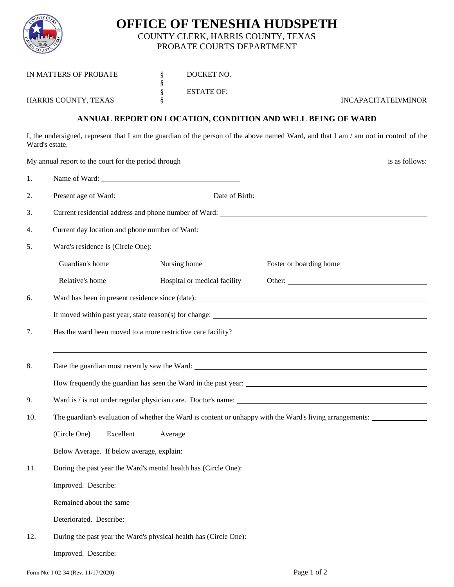

## **OFFICE OF TENESHIA HUDSPETH** COUNTY CLERK, HARRIS COUNTY, TEXAS

PROBATE COURTS DEPARTMENT

| IN MATTERS OF PROBATE |                                                                                                          | ş<br>§<br>§ |                              | DOCKET NO.                                                                                                                                                                                                                                            |  |
|-----------------------|----------------------------------------------------------------------------------------------------------|-------------|------------------------------|-------------------------------------------------------------------------------------------------------------------------------------------------------------------------------------------------------------------------------------------------------|--|
|                       |                                                                                                          |             |                              | ESTATE OF: University of the Second Second Second Second Second Second Second Second Second Second Second Second Second Second Second Second Second Second Second Second Second Second Second Second Second Second Second Seco<br>INCAPACITATED/MINOR |  |
|                       | HARRIS COUNTY, TEXAS                                                                                     |             |                              |                                                                                                                                                                                                                                                       |  |
|                       |                                                                                                          |             |                              | ANNUAL REPORT ON LOCATION, CONDITION AND WELL BEING OF WARD                                                                                                                                                                                           |  |
|                       | Ward's estate.                                                                                           |             |                              | I, the undersigned, represent that I am the guardian of the person of the above named Ward, and that I am / am not in control of the                                                                                                                  |  |
|                       |                                                                                                          |             |                              | My annual report to the court for the period through example and the set of the set of the period through example and the set of the period through example and the set of the period through example and the set of the perio                        |  |
| 1.                    | Name of Ward:                                                                                            |             |                              |                                                                                                                                                                                                                                                       |  |
| 2.                    |                                                                                                          |             |                              |                                                                                                                                                                                                                                                       |  |
| 3.                    |                                                                                                          |             |                              |                                                                                                                                                                                                                                                       |  |
| 4.                    |                                                                                                          |             |                              |                                                                                                                                                                                                                                                       |  |
| 5.                    | Ward's residence is (Circle One):                                                                        |             |                              |                                                                                                                                                                                                                                                       |  |
|                       | Guardian's home                                                                                          |             | Nursing home                 | Foster or boarding home                                                                                                                                                                                                                               |  |
|                       | Relative's home                                                                                          |             | Hospital or medical facility | Other:                                                                                                                                                                                                                                                |  |
| 6.                    |                                                                                                          |             |                              |                                                                                                                                                                                                                                                       |  |
|                       |                                                                                                          |             |                              |                                                                                                                                                                                                                                                       |  |
| 7.                    | Has the ward been moved to a more restrictive care facility?                                             |             |                              |                                                                                                                                                                                                                                                       |  |
| 8.                    | ,我们也不会有什么。""我们的人,我们也不会有什么?""我们的人,我们也不会有什么?""我们的人,我们也不会有什么?""我们的人,我们也不会有什么?""我们的人                         |             |                              |                                                                                                                                                                                                                                                       |  |
|                       |                                                                                                          |             |                              |                                                                                                                                                                                                                                                       |  |
| 9.                    | Ward is / is not under regular physician care. Doctor's name:                                            |             |                              |                                                                                                                                                                                                                                                       |  |
| 10.                   | The guardian's evaluation of whether the Ward is content or unhappy with the Ward's living arrangements: |             |                              |                                                                                                                                                                                                                                                       |  |
|                       | (Circle One)<br>Excellent                                                                                | Average     |                              |                                                                                                                                                                                                                                                       |  |
|                       |                                                                                                          |             |                              |                                                                                                                                                                                                                                                       |  |
| 11.                   | During the past year the Ward's mental health has (Circle One):                                          |             |                              |                                                                                                                                                                                                                                                       |  |
|                       |                                                                                                          |             |                              |                                                                                                                                                                                                                                                       |  |
|                       | Remained about the same                                                                                  |             |                              |                                                                                                                                                                                                                                                       |  |
|                       |                                                                                                          |             |                              |                                                                                                                                                                                                                                                       |  |
| 12.                   | During the past year the Ward's physical health has (Circle One):                                        |             |                              |                                                                                                                                                                                                                                                       |  |
|                       |                                                                                                          |             |                              |                                                                                                                                                                                                                                                       |  |